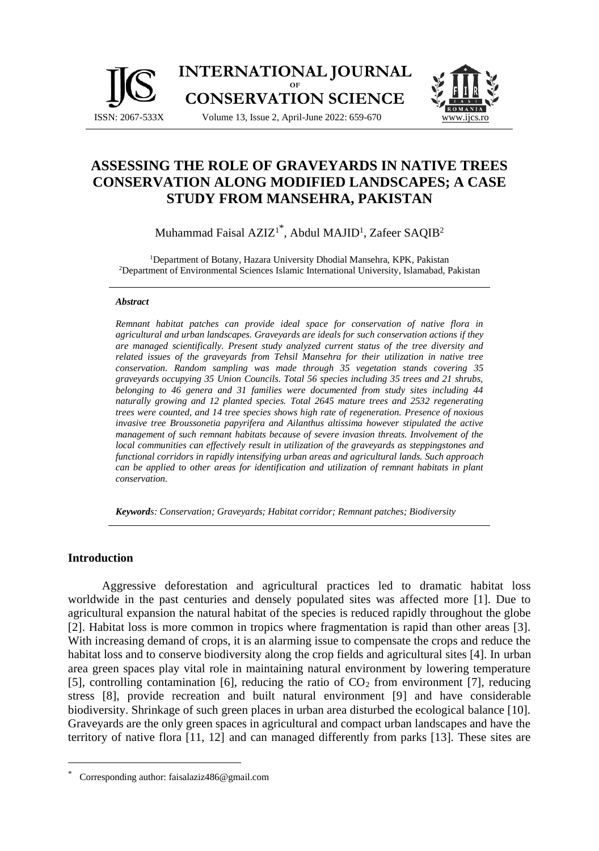



# **ASSESSING THE ROLE OF GRAVEYARDS IN NATIVE TREES CONSERVATION ALONG MODIFIED LANDSCAPES; A CASE STUDY FROM MANSEHRA, PAKISTAN**

Muhammad Faisal AZIZ<sup>1\*</sup>, Abdul MAJID<sup>1</sup>, Zafeer SAQIB<sup>2</sup>

<sup>1</sup>Department of Botany, Hazara University Dhodial Mansehra, KPK, Pakistan <sup>2</sup>Department of Environmental Sciences Islamic International University, Islamabad, Pakistan

#### *Abstract*

*Remnant habitat patches can provide ideal space for conservation of native flora in agricultural and urban landscapes. Graveyards are ideals for such conservation actions if they are managed scientifically. Present study analyzed current status of the tree diversity and related issues of the graveyards from Tehsil Mansehra for their utilization in native tree conservation. Random sampling was made through 35 vegetation stands covering 35 graveyards occupying 35 Union Councils. Total 56 species including 35 trees and 21 shrubs, belonging to 46 genera and 31 families were documented from study sites including 44 naturally growing and 12 planted species. Total 2645 mature trees and 2532 regenerating trees were counted, and 14 tree species shows high rate of regeneration. Presence of noxious invasive tree Broussonetia papyrifera and Ailanthus altissima however stipulated the active management of such remnant habitats because of severe invasion threats. Involvement of the local communities can effectively result in utilization of the graveyards as steppingstones and functional corridors in rapidly intensifying urban areas and agricultural lands. Such approach can be applied to other areas for identification and utilization of remnant habitats in plant conservation.*

*Keywords: Conservation; Graveyards; Habitat corridor; Remnant patches; Biodiversity*

# **Introduction**

Aggressive deforestation and agricultural practices led to dramatic habitat loss worldwide in the past centuries and densely populated sites was affected more [1]. Due to agricultural expansion the natural habitat of the species is reduced rapidly throughout the globe [2]. Habitat loss is more common in tropics where fragmentation is rapid than other areas [3]. With increasing demand of crops, it is an alarming issue to compensate the crops and reduce the habitat loss and to conserve biodiversity along the crop fields and agricultural sites [4]. In urban area green spaces play vital role in maintaining natural environment by lowering temperature [5], controlling contamination [6], reducing the ratio of  $CO<sub>2</sub>$  from environment [7], reducing stress [8], provide recreation and built natural environment [9] and have considerable biodiversity. Shrinkage of such green places in urban area disturbed the ecological balance [10]. Graveyards are the only green spaces in agricultural and compact urban landscapes and have the territory of native flora [11, 12] and can managed differently from parks [13]. These sites are

Corresponding author: faisalaziz486@gmail.com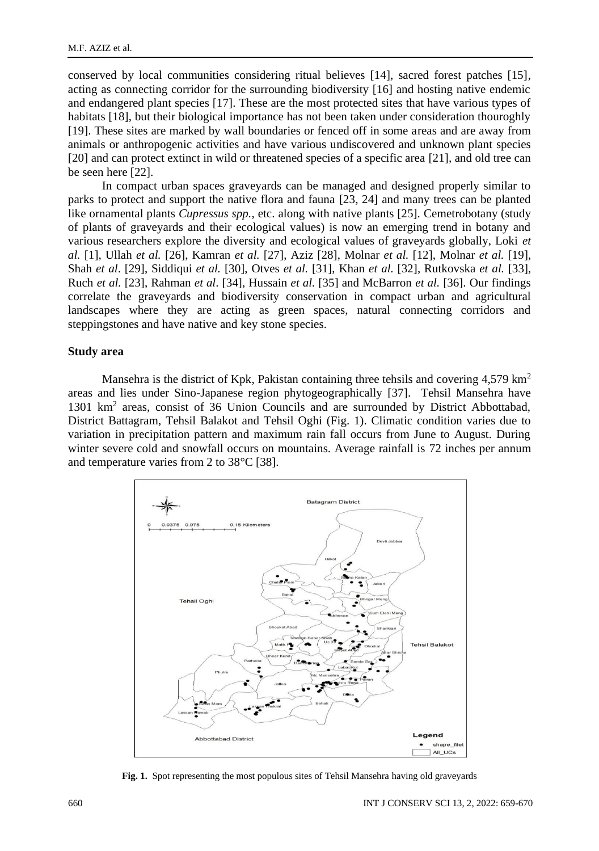conserved by local communities considering ritual believes [14], sacred forest patches [15], acting as connecting corridor for the surrounding biodiversity [16] and hosting native endemic and endangered plant species [17]. These are the most protected sites that have various types of habitats [18], but their biological importance has not been taken under consideration thouroghly [19]. These sites are marked by wall boundaries or fenced off in some areas and are away from animals or anthropogenic activities and have various undiscovered and unknown plant species [20] and can protect extinct in wild or threatened species of a specific area [21]*,* and old tree can be seen here [22].

In compact urban spaces graveyards can be managed and designed properly similar to parks to protect and support the native flora and fauna [23, 24] and many trees can be planted like ornamental plants *Cupressus spp.*, etc. along with native plants [25]. Cemetrobotany (study of plants of graveyards and their ecological values) is now an emerging trend in botany and various researchers explore the diversity and ecological values of graveyards globally, Loki *et al.* [1], Ullah *et al.* [26], Kamran *et al.* [27], Aziz [28], Molnar *et al.* [12], Molnar *et al.* [19], Shah *et al*. [29], Siddiqui *et al.* [30], Otves *et al.* [31], Khan *et al.* [32], Rutkovska *et al.* [33], Ruch *et al.* [23], Rahman *et al*. [34], Hussain *et al.* [35] and McBarron *et al.* [36]. Our findings correlate the graveyards and biodiversity conservation in compact urban and agricultural landscapes where they are acting as green spaces, natural connecting corridors and steppingstones and have native and key stone species.

### **Study area**

Mansehra is the district of Kpk, Pakistan containing three tehsils and covering  $4,579 \text{ km}^2$ areas and lies under Sino-Japanese region phytogeographically [37]. Tehsil Mansehra have 1301 km<sup>2</sup> areas, consist of 36 Union Councils and are surrounded by District Abbottabad, District Battagram, Tehsil Balakot and Tehsil Oghi (Fig. 1). Climatic condition varies due to variation in precipitation pattern and maximum rain fall occurs from June to August. During winter severe cold and snowfall occurs on mountains. Average rainfall is 72 inches per annum and temperature varies from 2 to 38°C [38].



**Fig. 1.** Spot representing the most populous sites of Tehsil Mansehra having old graveyards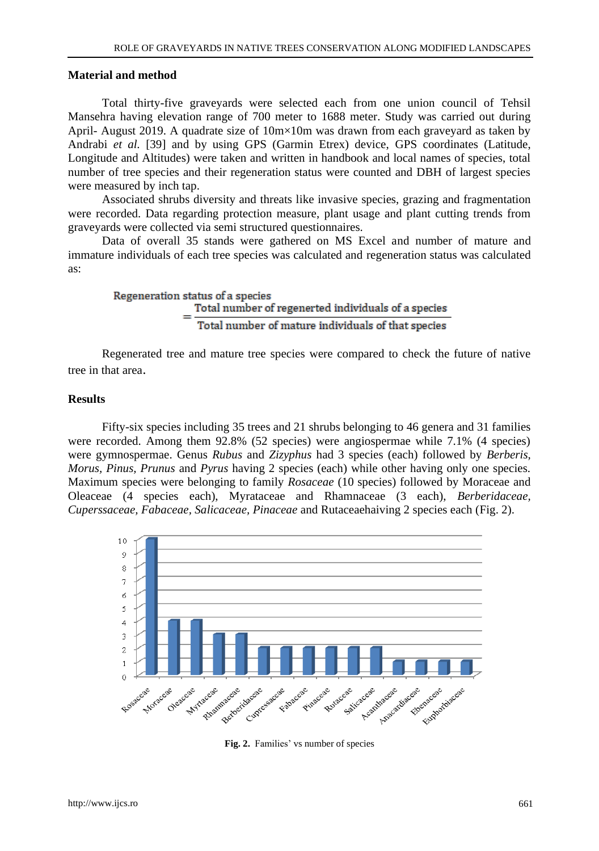# **Material and method**

Total thirty-five graveyards were selected each from one union council of Tehsil Mansehra having elevation range of 700 meter to 1688 meter. Study was carried out during April- August 2019. A quadrate size of 10m×10m was drawn from each graveyard as taken by Andrabi *et al.* [39] and by using GPS (Garmin Etrex) device, GPS coordinates (Latitude, Longitude and Altitudes) were taken and written in handbook and local names of species, total number of tree species and their regeneration status were counted and DBH of largest species were measured by inch tap.

Associated shrubs diversity and threats like invasive species, grazing and fragmentation were recorded. Data regarding protection measure, plant usage and plant cutting trends from graveyards were collected via semi structured questionnaires.

Data of overall 35 stands were gathered on MS Excel and number of mature and immature individuals of each tree species was calculated and regeneration status was calculated as:

Regeneration status of a species

\n
$$
= \frac{\text{Total number of regenerated individuals of a species}}{\text{Total number of mature individuals of that species}}
$$

Regenerated tree and mature tree species were compared to check the future of native tree in that area.

### **Results**

Fifty-six species including 35 trees and 21 shrubs belonging to 46 genera and 31 families were recorded. Among them 92.8% (52 species) were angiospermae while 7.1% (4 species) were gymnospermae. Genus *Rubus* and *Zizyphus* had 3 species (each) followed by *Berberis, Morus, Pinus, Prunus* and *Pyrus* having 2 species (each) while other having only one species. Maximum species were belonging to family *Rosaceae* (10 species) followed by Moraceae and Oleaceae (4 species each), Myrataceae and Rhamnaceae (3 each), *Berberidaceae, Cuperssaceae, Fabaceae, Salicaceae, Pinaceae* and Rutaceaehaiving 2 species each (Fig. 2).



**Fig. 2.** Families' vs number of species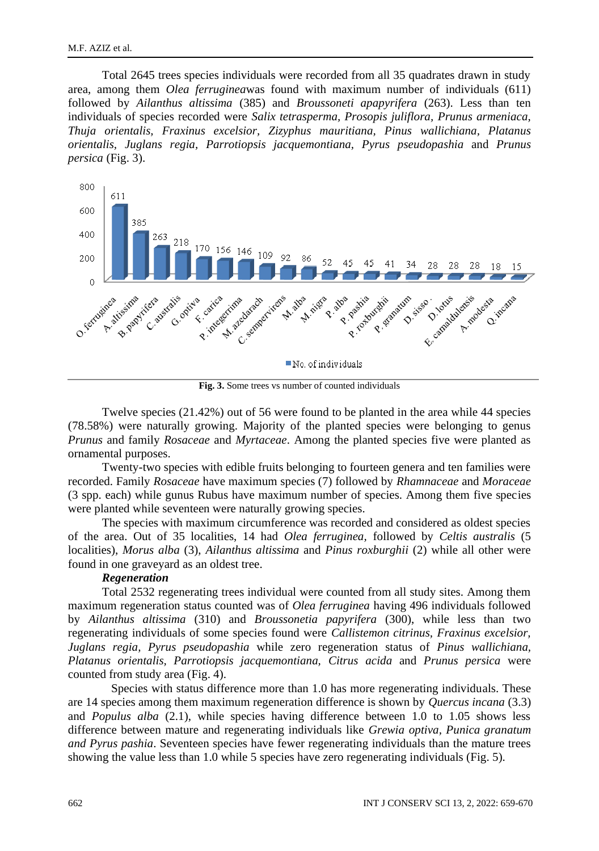Total 2645 trees species individuals were recorded from all 35 quadrates drawn in study area, among them *Olea ferruginea*was found with maximum number of individuals (611) followed by *Ailanthus altissima* (385) and *Broussoneti apapyrifera* (263). Less than ten individuals of species recorded were *Salix tetrasperma, Prosopis juliflora, Prunus armeniaca, Thuja orientalis, Fraxinus excelsior, Zizyphus mauritiana, Pinus wallichiana, Platanus orientalis, Juglans regia, Parrotiopsis jacquemontiana, Pyrus pseudopashia* and *Prunus persica* (Fig. 3).



**Fig. 3.** Some trees vs number of counted individuals

Twelve species (21.42%) out of 56 were found to be planted in the area while 44 species (78.58%) were naturally growing. Majority of the planted species were belonging to genus *Prunus* and family *Rosaceae* and *Myrtaceae*. Among the planted species five were planted as ornamental purposes.

Twenty-two species with edible fruits belonging to fourteen genera and ten families were recorded. Family *Rosaceae* have maximum species (7) followed by *Rhamnaceae* and *Moraceae* (3 spp. each) while gunus Rubus have maximum number of species. Among them five species were planted while seventeen were naturally growing species.

The species with maximum circumference was recorded and considered as oldest species of the area. Out of 35 localities, 14 had *Olea ferruginea,* followed by *Celtis australis* (5 localities), *Morus alba* (3), *Ailanthus altissima* and *Pinus roxburghii* (2) while all other were found in one graveyard as an oldest tree.

# *Regeneration*

Total 2532 regenerating trees individual were counted from all study sites. Among them maximum regeneration status counted was of *Olea ferruginea* having 496 individuals followed by *Ailanthus altissima* (310) and *Broussonetia papyrifera* (300), while less than two regenerating individuals of some species found were *Callistemon citrinus, Fraxinus excelsior, Juglans regia, Pyrus pseudopashia* while zero regeneration status of *Pinus wallichiana, Platanus orientalis, Parrotiopsis jacquemontiana, Citrus acida* and *Prunus persica* were counted from study area (Fig. 4).

Species with status difference more than 1.0 has more regenerating individuals. These are 14 species among them maximum regeneration difference is shown by *Quercus incana* (3.3) and *Populus alba* (2.1), while species having difference between 1.0 to 1.05 shows less difference between mature and regenerating individuals like *Grewia optiva, Punica granatum and Pyrus pashia*. Seventeen species have fewer regenerating individuals than the mature trees showing the value less than 1.0 while 5 species have zero regenerating individuals (Fig. 5).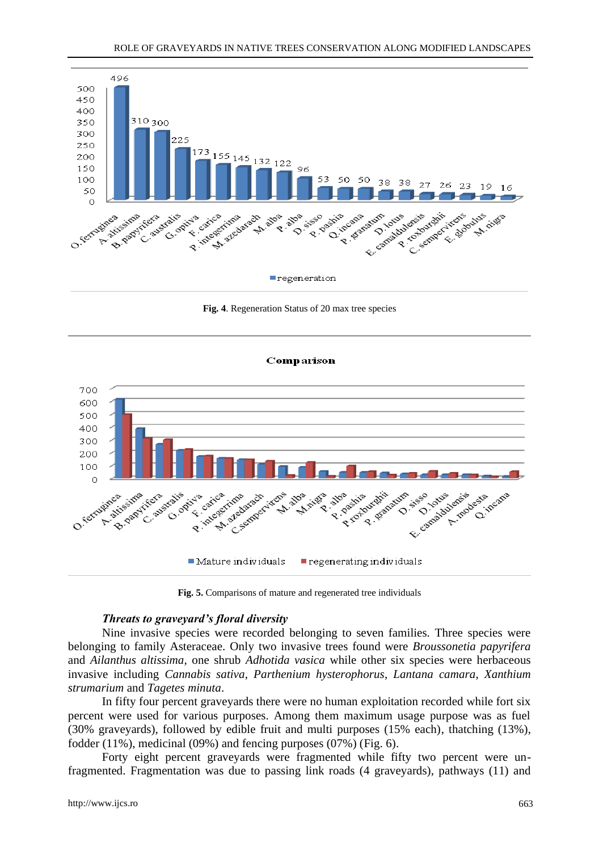

**Fig. 4**. Regeneration Status of 20 max tree species

#### Comparison



**Fig. 5.** Comparisons of mature and regenerated tree individuals

# *Threats to graveyard's floral diversity*

Nine invasive species were recorded belonging to seven families. Three species were belonging to family Asteraceae. Only two invasive trees found were *Broussonetia papyrifera* and *Ailanthus altissima,* one shrub *Adhotida vasica* while other six species were herbaceous invasive including *Cannabis sativa*, *Parthenium hysterophorus*, *Lantana camara*, *Xanthium strumarium* and *Tagetes minuta*.

In fifty four percent graveyards there were no human exploitation recorded while fort six percent were used for various purposes. Among them maximum usage purpose was as fuel (30% graveyards), followed by edible fruit and multi purposes (15% each), thatching (13%), fodder (11%), medicinal (09%) and fencing purposes (07%) (Fig. 6).

Forty eight percent graveyards were fragmented while fifty two percent were unfragmented. Fragmentation was due to passing link roads (4 graveyards), pathways (11) and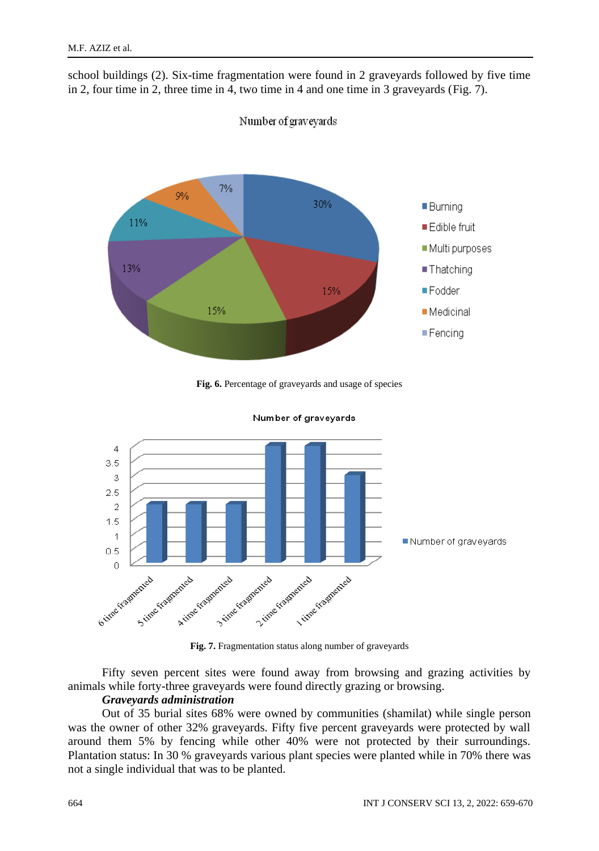school buildings (2). Six-time fragmentation were found in 2 graveyards followed by five time in 2, four time in 2, three time in 4, two time in 4 and one time in 3 graveyards (Fig. 7).



Number of graveyards

**Fig. 6.** Percentage of graveyards and usage of species



Number of graveyards

Fifty seven percent sites were found away from browsing and grazing activities by animals while forty-three graveyards were found directly grazing or browsing.

# *Graveyards administration*

Out of 35 burial sites 68% were owned by communities (shamilat) while single person was the owner of other 32% graveyards. Fifty five percent graveyards were protected by wall around them 5% by fencing while other 40% were not protected by their surroundings. Plantation status: In 30 % graveyards various plant species were planted while in 70% there was not a single individual that was to be planted.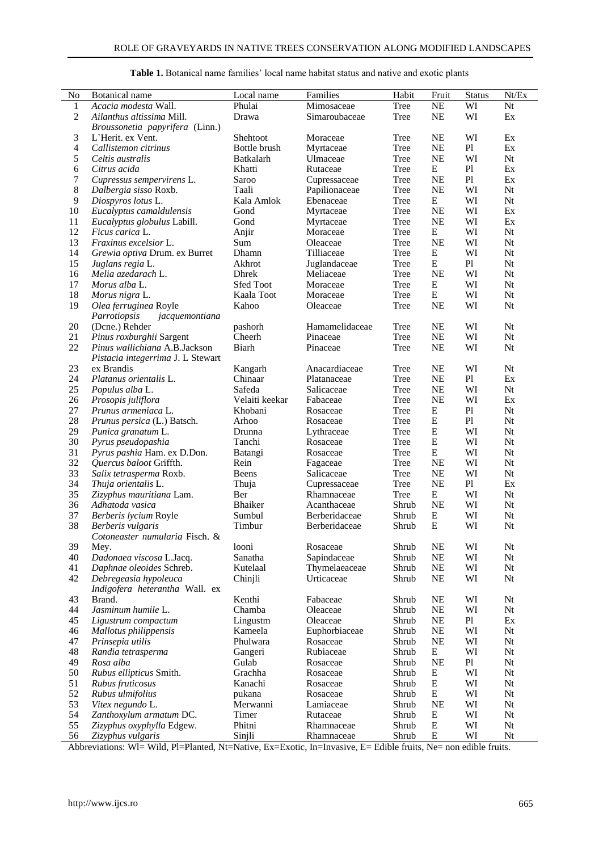| No           | Botanical name                         | Local name       | Families       | Habit | Fruit     | <b>Status</b> | Nt/Ex |
|--------------|----------------------------------------|------------------|----------------|-------|-----------|---------------|-------|
| $\mathbf{1}$ | Acacia modesta Wall.                   | Phulai           | Mimosaceae     | Tree  | NE        | WI            | Nt    |
| $\mathbf{2}$ | Ailanthus altissima Mill.              | Drawa            | Simaroubaceae  | Tree  | NE        | WI            | Ex    |
|              | <i>Broussonetia papyrifera</i> (Linn.) |                  |                |       |           |               |       |
| 3            | L'Herit. ex Vent.                      | Shehtoot         | Moraceae       | Tree  | NE        | WI            | Ex    |
| 4            | Callistemon citrinus                   | Bottle brush     | Myrtaceae      | Tree  | NE        | Pl            | Ex    |
| 5            | Celtis australis                       | Batkalarh        | Ulmaceae       | Tree  | NE        | WI            | Nt    |
| 6            | Citrus acida                           | Khatti           | Rutaceae       | Tree  | E         | P1            | Ex    |
| $\tau$       | Cupressus sempervirens L.              | Saroo            | Cupressaceae   | Tree  | NE        | Pl            | Ex    |
| $\,8\,$      | Dalbergia sisso Roxb.                  | Taali            | Papilionaceae  | Tree  | <b>NE</b> | WI            | Nt    |
|              |                                        |                  |                |       |           |               |       |
| 9            | Diospyros lotus L.                     | Kala Amlok       | Ebenaceae      | Tree  | E         | WI            | Nt    |
| 10           | Eucalyptus camaldulensis               | Gond             | Myrtaceae      | Tree  | NE        | WI            | Ex    |
| 11           | Eucalyptus globulus Labill.            | Gond             | Myrtaceae      | Tree  | NE        | WI            | Ex    |
| 12           | <i>Ficus carica</i> L.                 | Anjir            | Moraceae       | Tree  | E         | WI            | Nt    |
| 13           | <i>Fraxinus excelsior</i> L.           | Sum              | Oleaceae       | Tree  | NE        | WI            | Nt    |
| 14           | Grewia optiva Drum. ex Burret          | Dhamn            | Tilliaceae     | Tree  | E         | WI            | Nt    |
| 15           | Juglans regia L.                       | Akhrot           | Juglandaceae   | Tree  | E         | Pl            | Nt    |
| 16           | Melia azedarach L.                     | Dhrek            | Meliaceae      | Tree  | NE        | WI            | Nt    |
| 17           | Morus alba L.                          | <b>Sfed Toot</b> | Moraceae       | Tree  | E         | WI            | Nt    |
| 18           | Morus nigra L.                         | Kaala Toot       | Moraceae       | Tree  | Е         | WI            | Nt    |
| 19           | Olea ferruginea Royle                  | Kahoo            | Oleaceae       | Tree  | NE        | WI            | Nt    |
|              | Parrotiopsis<br>jacquemontiana         |                  |                |       |           |               |       |
| 20           | (Dcne.) Rehder                         | pashorh          | Hamamelidaceae | Tree  | NE        | WI            | Nt    |
| 21           | <i>Pinus roxburghii</i> Sargent        | Cheerh           | Pinaceae       | Tree  | NE        | WI            | Nt    |
| 22           | Pinus wallichiana A.B.Jackson          | Biarh            | Pinaceae       | Tree  | NE        | WI            | Nt    |
|              |                                        |                  |                |       |           |               |       |
|              | Pistacia integerrima J. L Stewart      |                  |                |       |           |               |       |
| 23           | ex Brandis                             | Kangarh          | Anacardiaceae  | Tree  | NE        | WI            | Nt    |
| 24           | Platanus orientalis L.                 | Chinaar          | Platanaceae    | Tree  | NE        | Pl            | Ex    |
| 25           | Populus alba L.                        | Safeda           | Salicaceae     | Tree  | NE        | WI            | Nt    |
| 26           | Prosopis juliflora                     | Velaiti keekar   | Fabaceae       | Tree  | NE        | WI            | Ex    |
| 27           | Prunus armeniaca L.                    | Khobani          | Rosaceae       | Tree  | E         | P1            | Nt    |
| 28           | Prunus persica (L.) Batsch.            | Arhoo            | Rosaceae       | Tree  | E         | Pl            | Nt    |
| 29           | Punica granatum L.                     | Drunna           | Lythraceae     | Tree  | E         | WI            | Nt    |
| 30           | Pyrus pseudopashia                     | Tanchi           | Rosaceae       | Tree  | E         | WI            | Nt    |
| 31           | Pyrus pashia Ham. ex D.Don.            | Batangi          | Rosaceae       | Tree  | E         | WI            | Nt    |
| 32           | <i>Quercus baloot Griffth.</i>         | Rein             | Fagaceae       | Tree  | NE        | WI            | Nt    |
| 33           | Salix tetrasperma Roxb.                | Beens            | Salicaceae     | Tree  | NE        | WI            | Nt    |
| 34           | Thuja orientalis L.                    | Thuja            | Cupressaceae   | Tree  | NE        | Pl            | Ex    |
| 35           | Zizyphus mauritiana Lam.               | Ber              | Rhamnaceae     | Tree  | Е         | WI            | Nt    |
| 36           | Adhatoda vasica                        | Bhaiker          | Acanthaceae    | Shrub | NE        | WI            | Nt    |
| 37           | <i>Berberis lycium</i> Royle           | Sumbul           | Berberidaceae  | Shrub | E         | WI            | Nt    |
| 38           |                                        | Timbur           | Berberidaceae  | Shrub | E         | WI            | Nt    |
|              | Berberis vulgaris                      |                  |                |       |           |               |       |
|              | Cotoneaster numularia Fisch. &         |                  |                |       |           |               |       |
| 39           | Mey.                                   | looni            | Rosaceae       | Shrub | NE        | WI            | Nt    |
| 40           | Dadonaea viscosa L.Jacq.               | Sanatha          | Sapindaceae    | Shrub | NE        | WI            | Nt    |
| 41           | Daphnae oleoides Schreb.               | Kutelaal         | Thymelaeaceae  | Shrub | NE        | WI            | Nt    |
| 42           | Debregeasia hypoleuca                  | Chinjli          | Urticaceae     | Shrub | NE        | WI            | Nt    |
|              | <i>Indigofera heterantha</i> Wall. ex  |                  |                |       |           |               |       |
| 43           | Brand.                                 | Kenthi           | Fabaceae       | Shrub | NE        | WI            | Nt    |
| 44           | Jasminum humile L.                     | Chamba           | Oleaceae       | Shrub | NE        | WI            | Nt    |
| 45           | Ligustrum compactum                    | Lingustm         | Oleaceae       | Shrub | NE        | Pl            | Ex    |
| 46           | Mallotus philippensis                  | Kameela          | Euphorbiaceae  | Shrub | $\rm NE$  | WI            | Nt    |
| 47           | Prinsepia utilis                       | Phulwara         | Rosaceae       | Shrub | $\rm NE$  | WI            | Nt    |
| 48           | Randia tetrasperma                     | Gangeri          | Rubiaceae      | Shrub | Е         | WI            | Nt    |
| 49           | Rosa alba                              | Gulab            | Rosaceae       | Shrub | NE        | Pl            | Nt    |
| 50           | Rubus ellipticus Smith.                | Grachha          | Rosaceae       | Shrub | E         | WI            | Nt    |
| 51           | Rubus fruticosus                       | Kanachi          | Rosaceae       | Shrub | E         | WI            | Nt    |
| 52           | Rubus ulmifolius                       | pukana           | Rosaceae       | Shrub | Е         | WI            | Nt    |
| 53           | Vitex negundo L.                       | Merwanni         | Lamiaceae      | Shrub | NE        | WI            | Nt    |
| 54           | Zanthoxylum armatum DC.                | Timer            | Rutaceae       | Shrub | Е         | WI            | Nt    |
| 55           | Zizyphus oxyphylla Edgew.              | Phitni           | Rhamnaceae     | Shrub | Е         | WI            | Nt    |
| 56           | Zizyphus vulgaris                      | Sinjli           | Rhamnaceae     | Shrub | Е         | WI            | Nt    |
|              |                                        |                  |                |       |           |               |       |

**Table 1.** Botanical name families' local name habitat status and native and exotic plants

Abbreviations: Wl= Wild, Pl=Planted, Nt=Native, Ex=Exotic, In=Invasive, E= Edible fruits, Ne= non edible fruits.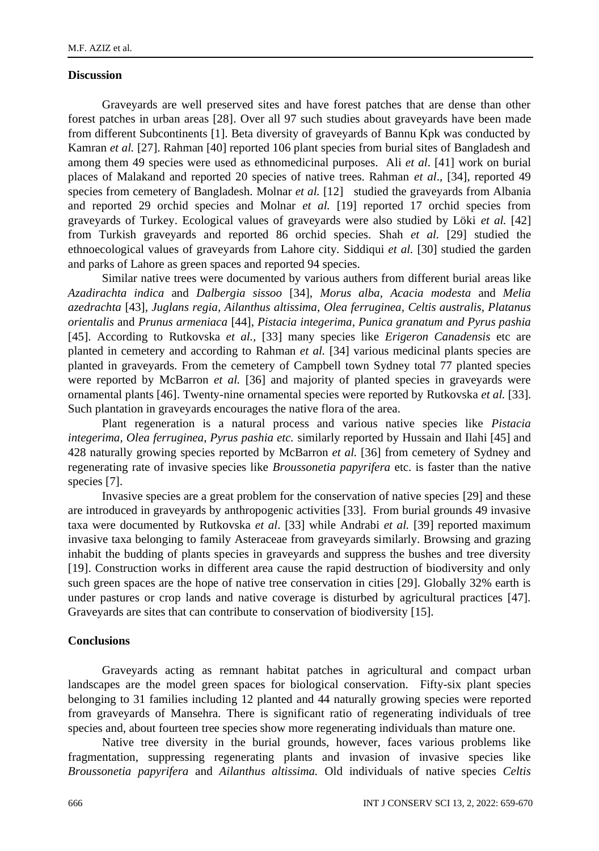# **Discussion**

Graveyards are well preserved sites and have forest patches that are dense than other forest patches in urban areas [28]. Over all 97 such studies about graveyards have been made from different Subcontinents [1]. Beta diversity of graveyards of Bannu Kpk was conducted by Kamran *et al.* [27]. Rahman [40] reported 106 plant species from burial sites of Bangladesh and among them 49 species were used as ethnomedicinal purposes. Ali *et al*. [41] work on burial places of Malakand and reported 20 species of native trees. Rahman *et al*., [34], reported 49 species from cemetery of Bangladesh. Molnar *et al.* [12] studied the graveyards from Albania and reported 29 orchid species and Molnar *et al.* [19] reported 17 orchid species from graveyards of Turkey. Ecological values of graveyards were also studied by Löki *et al.* [42] from Turkish graveyards and reported 86 orchid species. Shah *et al.* [29] studied the ethnoecological values of graveyards from Lahore city. Siddiqui *et al.* [30] studied the garden and parks of Lahore as green spaces and reported 94 species.

Similar native trees were documented by various authers from different burial areas like *Azadirachta indica* and *Dalbergia sissoo* [34], *Morus alba, Acacia modesta* and *Melia azedrachta* [43], *Juglans regia, Ailanthus altissima, Olea ferruginea, Celtis australis, Platanus orientalis* and *Prunus armeniaca* [44], *Pistacia integerima, Punica granatum and Pyrus pashia* [45]. According to Rutkovska *et al.,* [33] many species like *Erigeron Canadensis* etc are planted in cemetery and according to Rahman *et al.* [34] various medicinal plants species are planted in graveyards. From the cemetery of Campbell town Sydney total 77 planted species were reported by McBarron *et al.* [36] and majority of planted species in graveyards were ornamental plants [46]. Twenty-nine ornamental species were reported by Rutkovska *et al.* [33]. Such plantation in graveyards encourages the native flora of the area.

Plant regeneration is a natural process and various native species like *Pistacia integerima, Olea ferruginea, Pyrus pashia etc.* similarly reported by Hussain and Ilahi [45] and 428 naturally growing species reported by McBarron *et al.* [36] from cemetery of Sydney and regenerating rate of invasive species like *Broussonetia papyrifera* etc. is faster than the native species [7].

Invasive species are a great problem for the conservation of native species [29] and these are introduced in graveyards by anthropogenic activities [33]. From burial grounds 49 invasive taxa were documented by Rutkovska *et al*. [33] while Andrabi *et al.* [39] reported maximum invasive taxa belonging to family Asteraceae from graveyards similarly. Browsing and grazing inhabit the budding of plants species in graveyards and suppress the bushes and tree diversity [19]. Construction works in different area cause the rapid destruction of biodiversity and only such green spaces are the hope of native tree conservation in cities [29]. Globally 32% earth is under pastures or crop lands and native coverage is disturbed by agricultural practices [47]. Graveyards are sites that can contribute to conservation of biodiversity [15].

### **Conclusions**

Graveyards acting as remnant habitat patches in agricultural and compact urban landscapes are the model green spaces for biological conservation. Fifty-six plant species belonging to 31 families including 12 planted and 44 naturally growing species were reported from graveyards of Mansehra. There is significant ratio of regenerating individuals of tree species and, about fourteen tree species show more regenerating individuals than mature one.

Native tree diversity in the burial grounds, however, faces various problems like fragmentation, suppressing regenerating plants and invasion of invasive species like *Broussonetia papyrifera* and *Ailanthus altissima.* Old individuals of native species *Celtis*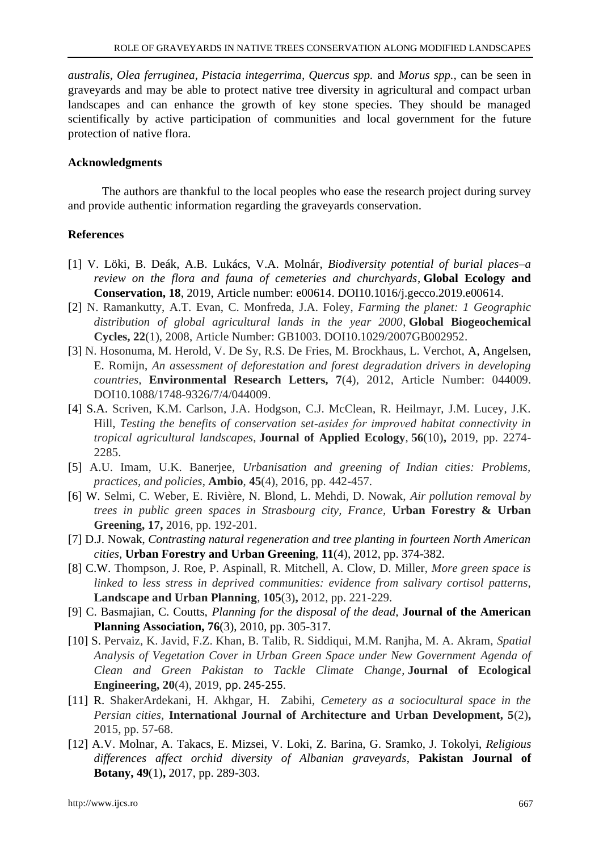*australis, Olea ferruginea, Pistacia integerrima, Quercus spp.* and *Morus spp.,* can be seen in graveyards and may be able to protect native tree diversity in agricultural and compact urban landscapes and can enhance the growth of key stone species. They should be managed scientifically by active participation of communities and local government for the future protection of native flora.

# **Acknowledgments**

The authors are thankful to the local peoples who ease the research project during survey and provide authentic information regarding the graveyards conservation.

# **References**

- [1] V. Löki, B. Deák, A.B. Lukács, V.A. Molnár, *Biodiversity potential of burial places–a review on the flora and fauna of cemeteries and churchyards*, **Global Ecology and Conservation, 18**, 2019, Article number: e00614. DOI10.1016/j.gecco.2019.e00614.
- [2] N. Ramankutty, A.T. Evan, C. Monfreda, J.A. Foley, *Farming the planet: 1 Geographic distribution of global agricultural lands in the year 2000*, **Global Biogeochemical Cycles, 22**(1), 2008, Article Number: GB1003. DOI10.1029/2007GB002952.
- [3] N. Hosonuma, M. Herold, V. De Sy, R.S. De Fries, M. Brockhaus, L. Verchot, A, Angelsen, E. Romijn, *An assessment of deforestation and forest degradation drivers in developing countries*, **Environmental Research Letters, 7**(4), 2012, Article Number: 044009. DOI10.1088/1748-9326/7/4/044009.
- [4] S.A. Scriven, K.M. Carlson, J.A. Hodgson, C.J. McClean, R. Heilmayr, J.M. Lucey, J.K. Hill, *Testing the benefits of conservation set‐asides for improved habitat connectivity in tropical agricultural landscapes*, **Journal of Applied Ecology**, **56**(10)**,** 2019, pp. 2274- 2285.
- [5] A.U. Imam, U.K. Banerjee, *Urbanisation and greening of Indian cities: Problems, practices, and policies*, **Ambio**, **45**(4), 2016, pp. 442-457.
- [6] W. Selmi, C. Weber, E. Rivière, N. Blond, L. Mehdi, D. Nowak, *Air pollution removal by trees in public green spaces in Strasbourg city, France,* **Urban Forestry & Urban Greening, 17,** 2016, pp. 192-201.
- [7] D.J. Nowak, *Contrasting natural regeneration and tree planting in fourteen North American cities,* **Urban Forestry and Urban Greening**, **11**(4), 2012, pp. 374-382.
- [8] C.W. Thompson, J. Roe, P. Aspinall, R. Mitchell, A. Clow, D. Miller, *More green space is linked to less stress in deprived communities: evidence from salivary cortisol patterns,*  **Landscape and Urban Planning**, **105**(3)**,** 2012, pp. 221-229.
- [9] C. Basmajian, C. Coutts, *Planning for the disposal of the dead,* **Journal of the American Planning Association, 76**(3), 2010, pp. 305-317.
- [10] S. Pervaiz, K. Javid, F.Z. Khan, B. Talib, R. Siddiqui, M.M. Ranjha, M. A. Akram, *Spatial Analysis of Vegetation Cover in Urban Green Space under New Government Agenda of Clean and Green Pakistan to Tackle Climate Change*, **Journal of Ecological Engineering, 20**(4), 2019, pp. 245-255.
- [11] R. ShakerArdekani, H. Akhgar, H. Zabihi, *Cemetery as a sociocultural space in the Persian cities,* **International Journal of Architecture and Urban Development, 5**(2)**,** 2015, pp. 57-68.
- [12] A.V. Molnar, A. Takacs, E. Mizsei, V. Loki, Z. Barina, G. Sramko, J. Tokolyi, *Religious differences affect orchid diversity of Albanian graveyards*, **Pakistan Journal of Botany, 49**(1)**,** 2017, pp. 289-303.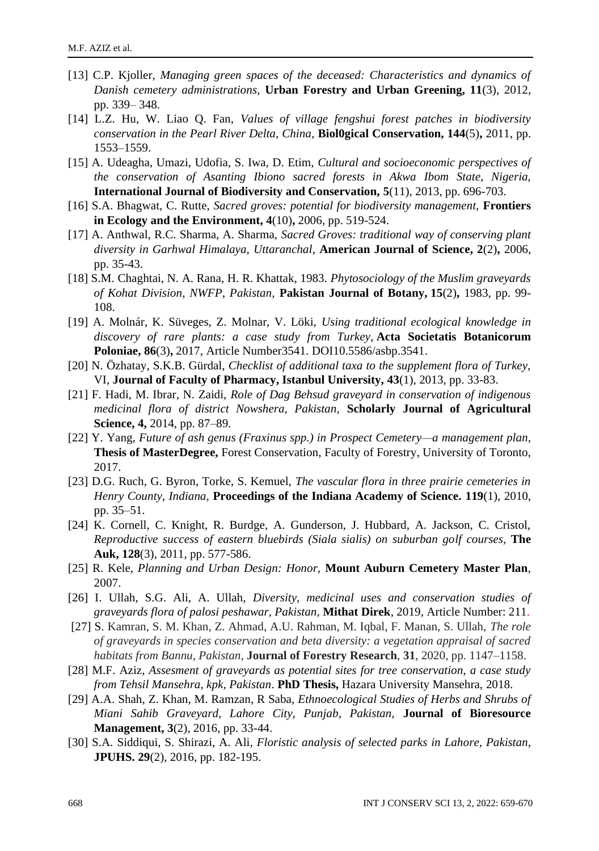- [13] C.P. Kjoller, *Managing green spaces of the deceased: Characteristics and dynamics of Danish cemetery administrations*, **Urban Forestry and Urban Greening, 11**(3), 2012, pp. 339– 348.
- [14] L.Z. Hu, W. Liao Q. Fan, *Values of village fengshui forest patches in biodiversity conservation in the Pearl River Delta, China,* **Biol0gical Conservation, 144**(5)**,** 2011, pp. 1553–1559.
- [15] A. Udeagha, Umazi, Udofia, S. Iwa, D. Etim, *Cultural and socioeconomic perspectives of the conservation of Asanting Ibiono sacred forests in Akwa Ibom State, Nigeria,*  **International Journal of Biodiversity and Conservation, 5**(11), 2013, pp. 696-703.
- [16] S.A. Bhagwat, C. Rutte, *Sacred groves: potential for biodiversity management,* **Frontiers in Ecology and the Environment, 4**(10)**,** 2006, pp. 519-524.
- [17] A. Anthwal, R.C. Sharma, A. Sharma, *Sacred Groves: traditional way of conserving plant diversity in Garhwal Himalaya, Uttaranchal*, **American Journal of Science, 2**(2)**,** 2006, pp. 35-43.
- [18] S.M. Chaghtai, N. A. Rana, H. R. Khattak, 1983. *Phytosociology of the Muslim graveyards of Kohat Division, NWFP, Pakistan,* **Pakistan Journal of Botany, 15**(2)**,** 1983, pp. 99- 108.
- [19] A. Molnár, K. Süveges, Z. Molnar, V. Löki, *Using traditional ecological knowledge in discovery of rare plants: a case study from Turkey*, **Acta Societatis Botanicorum Poloniae, 86**(3)**,** 2017, Article Number3541. DOI10.5586/asbp.3541.
- [20] N. Özhatay, S.K.B. Gürdal, *Checklist of additional taxa to the supplement flora of Turkey,*  VI, **Journal of Faculty of Pharmacy, Istanbul University, 43**(1), 2013, pp. 33-83.
- [21] F. Hadi, M. Ibrar, N. Zaidi, *Role of Dag Behsud graveyard in conservation of indigenous medicinal flora of district Nowshera, Pakistan,* **Scholarly Journal of Agricultural Science, 4,** 2014, pp. 87–89.
- [22] Y. Yang, *Future of ash genus (Fraxinus spp.) in Prospect Cemetery—a management plan,* **Thesis of MasterDegree,** Forest Conservation, Faculty of Forestry, University of Toronto, 2017.
- [23] D.G. Ruch, G. Byron, Torke, S. Kemuel, *The vascular flora in three prairie cemeteries in Henry County, Indiana,* **Proceedings of the Indiana Academy of Science. 119**(1), 2010, pp. 35–51.
- [24] K. Cornell, C. Knight, R. Burdge, A. Gunderson, J. Hubbard, A. Jackson, C. Cristol, *Reproductive success of eastern bluebirds (Siala sialis) on suburban golf courses,* **The Auk, 128**(3), 2011, pp. 577-586.
- [25] R. Kele, *Planning and Urban Design: Honor,* **Mount Auburn Cemetery Master Plan***,* 2007.
- [26] I. Ullah, S.G. Ali, A. Ullah, *Diversity, medicinal uses and conservation studies of graveyards flora of palosi peshawar, Pakistan*, **Mithat Direk**, 2019, Article Number: 211.
- [27] S. Kamran, S. M. Khan, Z. Ahmad, A.U. Rahman, M. Iqbal, F. Manan, S. Ullah, *The role of graveyards in species conservation and beta diversity: a vegetation appraisal of sacred habitats from Bannu, Pakistan,* **Journal of Forestry Research**, **31**, 2020, pp. 1147–1158.
- [28] M.F. Aziz, *Assesment of graveyards as potential sites for tree conservation, a case study from Tehsil Mansehra, kpk, Pakistan*. **PhD Thesis,** Hazara University Mansehra, 2018.
- [29] A.A. Shah, Z. Khan, M. Ramzan, R Saba, *Ethnoecological Studies of Herbs and Shrubs of Miani Sahib Graveyard, Lahore City, Punjab, Pakistan,* **Journal of Bioresource Management, 3**(2), 2016, pp. 33-44.
- [30] S.A. Siddiqui, S. Shirazi, A. Ali, *Floristic analysis of selected parks in Lahore, Pakistan,*  **JPUHS. 29**(2), 2016, pp. 182-195.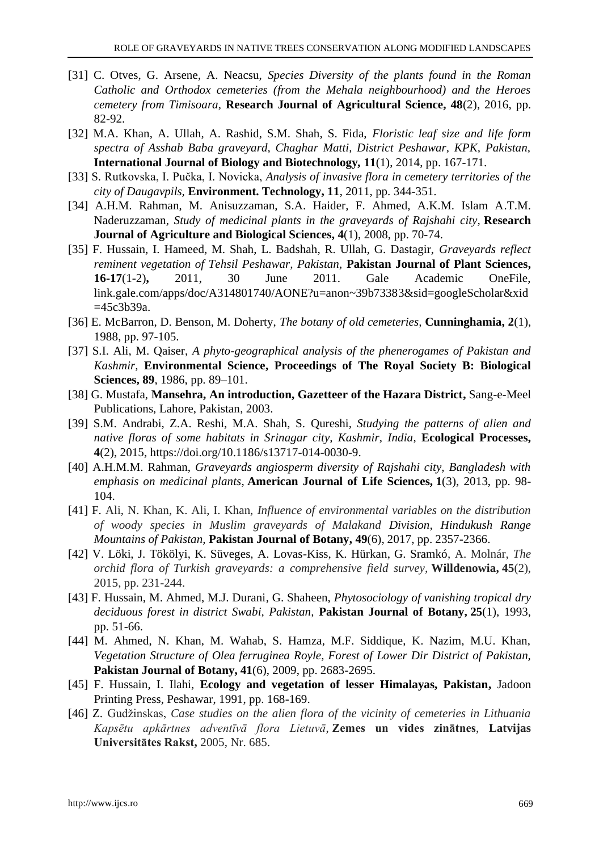- [31] C. Otves, G. Arsene, A. Neacsu, *Species Diversity of the plants found in the Roman Catholic and Orthodox cemeteries (from the Mehala neighbourhood) and the Heroes cemetery from Timisoara,* **Research Journal of Agricultural Science, 48**(2), 2016, pp. 82-92.
- [32] M.A. Khan, A. Ullah, A. Rashid, S.M. Shah, S. Fida, *Floristic leaf size and life form spectra of Asshab Baba graveyard, Chaghar Matti, District Peshawar, KPK, Pakistan,* **International Journal of Biology and Biotechnology***,* **11**(1), 2014, pp. 167-171.
- [33] S. Rutkovska, I. Pučka, I. Novicka, *Analysis of invasive flora in cemetery territories of the city of Daugavpils,* **Environment. Technology, 11**, 2011, pp. 344-351.
- [34] A.H.M. Rahman, M. Anisuzzaman, S.A. Haider, F. Ahmed, A.K.M. Islam A.T.M. Naderuzzaman, *Study of medicinal plants in the graveyards of Rajshahi city,* **Research Journal of Agriculture and Biological Sciences, 4**(1), 2008, pp. 70-74.
- [35] F. Hussain, I. Hameed, M. Shah, L. Badshah, R. Ullah, G. Dastagir, *Graveyards reflect reminent vegetation of Tehsil Peshawar, Pakistan,* **Pakistan Journal of Plant Sciences, 16-17**(1-2)**,** 2011, 30 June 2011. Gale Academic OneFile, link.gale.com/apps/doc/A314801740/AONE?u=anon~39b73383&sid=googleScholar&xid =45c3b39a.
- [36] E. McBarron, D. Benson, M. Doherty, *The botany of old cemeteries,* **Cunninghamia, 2**(1), 1988, pp. 97-105.
- [37] S.I. Ali, M. Qaiser, *A phyto-geographical analysis of the phenerogames of Pakistan and Kashmir,* **Environmental Science, Proceedings of The Royal Society B: Biological Sciences, 89**, 1986, pp. 89–101.
- [38] G. Mustafa, **Mansehra, An introduction, Gazetteer of the Hazara District,** Sang-e-Meel Publications, Lahore, Pakistan, 2003.
- [39] S.M. Andrabi, Z.A. Reshi, M.A. Shah, S. Qureshi*, Studying the patterns of alien and native floras of some habitats in Srinagar city, Kashmir, India*, **Ecological Processes, 4**(2), 2015, https://doi.org/10.1186/s13717-014-0030-9.
- [40] A.H.M.M. Rahman, *Graveyards angiosperm diversity of Rajshahi city, Bangladesh with emphasis on medicinal plants*, **American Journal of Life Sciences, 1**(3), 2013, pp. 98- 104.
- [41] F. Ali, N. Khan, K. Ali, I. Khan, *Influence of environmental variables on the distribution of woody species in Muslim graveyards of Malakand Division, Hindukush Range Mountains of Pakistan,* **Pakistan Journal of Botany, 49**(6), 2017, pp. 2357-2366.
- [42] V. Löki, J. Tökölyi, K. Süveges, A. Lovas-Kiss, K. Hürkan, G. Sramkó, A. Molnár, *The orchid flora of Turkish graveyards: a comprehensive field survey,* **Willdenowia, 45**(2), 2015, pp. 231-244.
- [43] F. Hussain, M. Ahmed, M.J. Durani, G. Shaheen, *Phytosociology of vanishing tropical dry deciduous forest in district Swabi, Pakistan,* **Pakistan Journal of Botany, 25**(1), 1993, pp. 51-66.
- [44] M. Ahmed, N. Khan, M. Wahab, S. Hamza, M.F. Siddique, K. Nazim, M.U. Khan, *Vegetation Structure of Olea ferruginea Royle, Forest of Lower Dir District of Pakistan,*  **Pakistan Journal of Botany, 41**(6), 2009, pp. 2683-2695.
- [45] F. Hussain, I. Ilahi, **Ecology and vegetation of lesser Himalayas, Pakistan,** Jadoon Printing Press, Peshawar, 1991, pp. 168-169.
- [46] Z. Gudžinskas, *Case studies on the alien flora of the vicinity of cemeteries in Lithuania Kapsētu apkārtnes adventīvā flora Lietuvā*, **Zemes un vides zinātnes**, **Latvijas Universitātes Rakst,** 2005, Nr. 685.